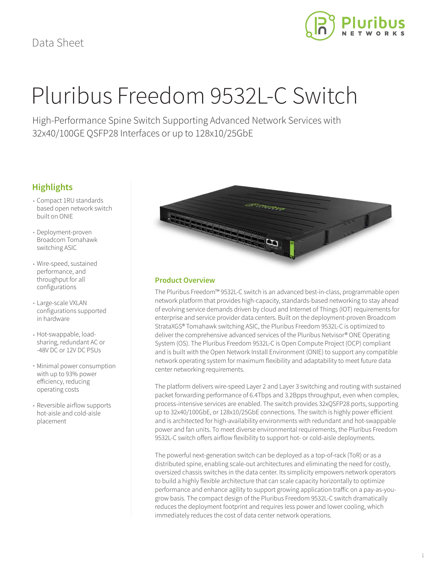

# Pluribus Freedom 9532L-C Switch

High-Performance Spine Switch Supporting Advanced Network Services with 32x40/100GE QSFP28 Interfaces or up to 128x10/25GbE

## **Highlights**

- Compact 1RU standards based open network switch built on ONIE
- Deployment-proven Broadcom Tomahawk switching ASIC
- Wire-speed, sustained performance, and throughput for all configurations
- Large-scale VXLAN configurations supported in hardware
- Hot-swappable, loadsharing, redundant AC or -48V DC or 12V DC PSUs
- Minimal power consumption with up to 93% power efficiency, reducing operating costs
- Reversible airflow supports hot-aisle and cold-aisle placement



## **Product Overview**

The Pluribus Freedom™ 9532L-C switch is an advanced best-in-class, programmable open network platform that provides high-capacity, standards-based networking to stay ahead of evolving service demands driven by cloud and Internet of Things (IOT) requirements for enterprise and service provider data centers. Built on the deployment-proven Broadcom StrataXGS® Tomahawk switching ASIC, the Pluribus Freedom 9532L-C is optimized to deliver the comprehensive advanced services of the Pluribus Netvisor® ONE Operating System (OS). The Pluribus Freedom 9532L-C is Open Compute Project (OCP) compliant and is built with the Open Network Install Environment (ONIE) to support any compatible network operating system for maximum flexibility and adaptability to meet future data center networking requirements.

The platform delivers wire-speed Layer 2 and Layer 3 switching and routing with sustained packet forwarding performance of 6.4Tbps and 3.2Bpps throughput, even when complex, process-intensive services are enabled. The switch provides 32xQSFP28 ports, supporting up to 32x40/100GbE, or 128x10/25GbE connections. The switch is highly power efficient and is architected for high-availability environments with redundant and hot-swappable power and fan units. To meet diverse environmental requirements, the Pluribus Freedom 9532L-C switch offers airflow flexibility to support hot- or cold-aisle deployments.

The powerful next-generation switch can be deployed as a top-of-rack (ToR) or as a distributed spine, enabling scale-out architectures and eliminating the need for costly, oversized chassis switches in the data center. Its simplicity empowers network operators to build a highly flexible architecture that can scale capacity horizontally to optimize performance and enhance agility to support growing application traffic on a pay-as-yougrow basis. The compact design of the Pluribus Freedom 9532L-C switch dramatically reduces the deployment footprint and requires less power and lower cooling, which immediately reduces the cost of data center network operations.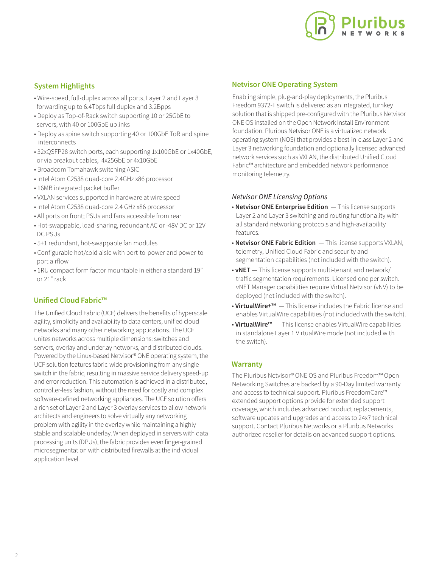

## **System Highlights**

- Wire-speed, full-duplex across all ports, Layer 2 and Layer 3 forwarding up to 6.4Tbps full duplex and 3.2Bpps
- Deploy as Top-of-Rack switch supporting 10 or 25GbE to servers, with 40 or 100GbE uplinks
- Deploy as spine switch supporting 40 or 100GbE ToR and spine interconnects
- 32xQSFP28 switch ports, each supporting 1x100GbE or 1x40GbE, or via breakout cables, 4x25GbE or 4x10GbE
- Broadcom Tomahawk switching ASIC
- Intel Atom C2538 quad-core 2.4GHz x86 processor
- 16MB integrated packet buffer
- VXLAN services supported in hardware at wire speed
- Intel Atom C2538 quad-core 2.4 GHz x86 processor
- All ports on front; PSUs and fans accessible from rear
- Hot-swappable, load-sharing, redundant AC or -48V DC or 12V DC PSUs
- 5+1 redundant, hot-swappable fan modules
- Configurable hot/cold aisle with port-to-power and power-to port airflow
- 1RU compact form factor mountable in either a standard 19" or 21" rack

## **Unified Cloud Fabric™**

The Unified Cloud Fabric (UCF) delivers the benefits of hyperscale agility, simplicity and availability to data centers, unified cloud networks and many other networking applications. The UCF unites networks across multiple dimensions: switches and servers, overlay and underlay networks, and distributed clouds. Powered by the Linux-based Netvisor® ONE operating system, the UCF solution features fabric-wide provisioning from any single switch in the fabric, resulting in massive service delivery speed-up and error reduction. This automation is achieved in a distributed, controller-less fashion, without the need for costly and complex software-defined networking appliances. The UCF solution offers a rich set of Layer 2 and Layer 3 overlay services to allow network architects and engineers to solve virtually any networking problem with agility in the overlay while maintaining a highly stable and scalable underlay. When deployed in servers with data processing units (DPUs), the fabric provides even finger-grained microsegmentation with distributed firewalls at the individual application level.

## **Netvisor ONE Operating System**

Enabling simple, plug-and-play deployments, the Pluribus Freedom 9372-T switch is delivered as an integrated, turnkey solution that is shipped pre-configured with the Pluribus Netvisor ONE OS installed on the Open Network Install Environment foundation. Pluribus Netvisor ONE is a virtualized network operating system (NOS) that provides a best-in-class Layer 2 and Layer 3 networking foundation and optionally licensed advanced network services such as VXLAN, the distributed Unified Cloud Fabric™ architecture and embedded network performance monitoring telemetry.

### *Netvisor ONE Licensing Options*

- **Netvisor ONE Enterprise Edition**  This license supports Layer 2 and Layer 3 switching and routing functionality with all standard networking protocols and high-availability features.
- **Netvisor ONE Fabric Edition**  This license supports VXLAN, telemetry, Unified Cloud Fabric and security and segmentation capabilities (not included with the switch).
- **vNET**  This license supports multi-tenant and network/ traffic segmentation requirements. Licensed one per switch. vNET Manager capabilities require Virtual Netvisor (vNV) to be deployed (not included with the switch).
- **VirtualWire+™**  This license includes the Fabric license and enables VirtualWire capabilities (not included with the switch).
- **VirtualWire™**  This license enables VirtualWire capabilities in standalone Layer 1 VirtualWire mode (not included with the switch).

## **Warranty**

The Pluribus Netvisor® ONE OS and Pluribus Freedom™ Open Networking Switches are backed by a 90-Day limited warranty and access to technical support. Pluribus FreedomCare™ extended support options provide for extended support coverage, which includes advanced product replacements, software updates and upgrades and access to 24x7 technical support. Contact Pluribus Networks or a Pluribus Networks authorized reseller for details on advanced support options.